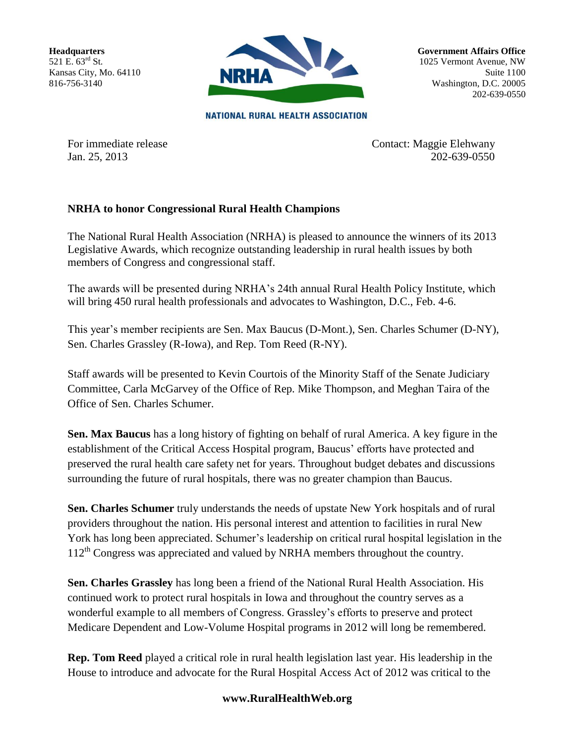**Headquarters** 521 E.  $63^{rd}$  St. Kansas City, Mo. 64110 816-756-3140



**Government Affairs Office** 1025 Vermont Avenue, NW Suite 1100 Washington, D.C. 20005 202-639-0550

**NATIONAL RURAL HEALTH ASSOCIATION** 

For immediate release Contact: Maggie Elehwany Jan. 25, 2013 202-639-0550

## **NRHA to honor Congressional Rural Health Champions**

The National Rural Health Association (NRHA) is pleased to announce the winners of its 2013 Legislative Awards, which recognize outstanding leadership in rural health issues by both members of Congress and congressional staff.

The awards will be presented during NRHA's 24th annual Rural Health Policy Institute, which will bring 450 rural health professionals and advocates to Washington, D.C., Feb. 4-6.

This year's member recipients are Sen. Max Baucus (D-Mont.), Sen. Charles Schumer (D-NY), Sen. Charles Grassley (R-Iowa), and Rep. Tom Reed (R-NY).

Staff awards will be presented to Kevin Courtois of the Minority Staff of the Senate Judiciary Committee, Carla McGarvey of the Office of Rep. Mike Thompson, and Meghan Taira of the Office of Sen. Charles Schumer.

**Sen. Max Baucus** has a long history of fighting on behalf of rural America. A key figure in the establishment of the Critical Access Hospital program, Baucus' efforts have protected and preserved the rural health care safety net for years. Throughout budget debates and discussions surrounding the future of rural hospitals, there was no greater champion than Baucus.

**Sen. Charles Schumer** truly understands the needs of upstate New York hospitals and of rural providers throughout the nation. His personal interest and attention to facilities in rural New York has long been appreciated. Schumer's leadership on critical rural hospital legislation in the  $112<sup>th</sup>$  Congress was appreciated and valued by NRHA members throughout the country.

**Sen. Charles Grassley** has long been a friend of the National Rural Health Association. His continued work to protect rural hospitals in Iowa and throughout the country serves as a wonderful example to all members of Congress. Grassley's efforts to preserve and protect Medicare Dependent and Low-Volume Hospital programs in 2012 will long be remembered.

**Rep. Tom Reed** played a critical role in rural health legislation last year. His leadership in the House to introduce and advocate for the Rural Hospital Access Act of 2012 was critical to the

## **www.RuralHealthWeb.org**